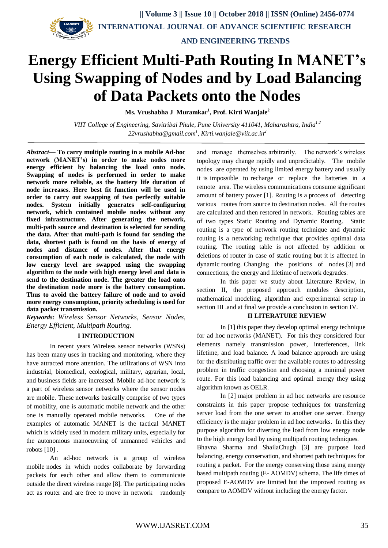

 **AND ENGINEERING TRENDS**

# **Energy Efficient Multi-Path Routing In MANET's Using Swapping of Nodes and by Load Balancing of Data Packets onto the Nodes**

**Ms. Vrushabha J Muramkar<sup>1</sup> , Prof. Kirti Wanjale<sup>2</sup>**

*VIIT College of Engineering, Savitribai Phule, Pune University 411041, Maharashtra, India1 2 [22vrushabha@gmail.com](mailto:22vrushabha@gmail.com)<sup>1</sup> , Kirti.wanjale@viit.ac.in<sup>2</sup>*

*Abstract***— To carry multiple routing in a mobile Ad-hoc network (MANET's) in order to make nodes more energy efficient by balancing the load onto node. Swapping of nodes is performed in order to make network more reliable, as the battery life duration of node increases. Here best fit function will be used in order to carry out swapping of two perfectly suitable nodes. System initially generates self-configuring network, which contained mobile nodes without any fixed infrastructure. After generating the network, multi-path source and destination is selected for sending the data. After that multi-path is found for sending the data, shortest path is found on the basis of energy of nodes and distance of nodes. After that energy consumption of each node is calculated, the node with low energy level are swapped using the swapping algorithm to the node with high energy level and data is send to the destination node. The greater the load onto the destination node more is the battery consumption. Thus to avoid the battery failure of node and to avoid more energy consumption, priority scheduling is used for data packet transmission.**

*Keywords: Wireless Sensor Networks, Sensor Nodes, Energy Efficient, Multipath Routing.*

# **I INTRODUCTION**

In recent years Wireless sensor networks (WSNs) has been many uses in tracking and monitoring, where they have attracted more attention. The utilizations of WSN into industrial, biomedical, ecological, military, agrarian, local, and business fields are increased. Mobile ad-hoc network is a part of wireless sensor networks where the sensor nodes are mobile. These networks basically comprise of two types of mobility, one is automatic mobile network and the other one is manually operated mobile networks. One of the examples of automatic MANET is the tactical MANET which is widely used in modern military units, especially for the autonomous manoeuvring of unmanned vehicles and robots [10] .

An ad-hoc network is a group of wireless mobile nodes in which nodes collaborate by forwarding packets for each other and allow them to communicate outside the direct wireless range [8]. The participating nodes act as router and are free to move in network randomly

and manage themselves arbitrarily. The network's wireless topology may change rapidly and unpredictably. The mobile nodes are operated by using limited energy battery and usually it is impossible to recharge or replace the batteries in a remote area. The wireless communications consume significant amount of battery power [1]. Routing is a process of detecting various routes from source to destination nodes. All the routes are calculated and then restored in network. Routing tables are of two types Static Routing and Dynamic Routing. Static routing is a type of network routing technique and dynamic routing is a networking technique that provides optimal data routing. The routing table is not affected by addition or deletions of router in case of static routing but it is affected in dynamic routing. Changing the positions of nodes [3] and connections, the energy and lifetime of network degrades.

In this paper we study about Literature Review, in section II, the proposed approach modules description, mathematical modeling, algorithm and experimental setup in section III .and at final we provide a conclusion in section IV.

#### **II LITERATURE REVIEW**

In [1] this paper they develop optimal energy technique for ad hoc networks (MANET). For this they considered four elements namely transmission power, interferences, link lifetime, and load balance. A load balance approach are using for the distributing traffic over the available routes to addressing problem in traffic congestion and choosing a minimal power route. For this load balancing and optimal energy they using algorithm known as OELR.

In [2] major problem in ad hoc networks are resource constraints in this paper propose techniques for transferring server load from the one server to another one server. Energy efficiency is the major problem in ad hoc networks. In this they purpose algorithm for diverting the load from low energy node to the high energy load by using multipath routing techniques.

Bhavna Sharma and ShailaChugh [3] are purpose load balancing, energy conservation, and shortest path techniques for routing a packet. For the energy conserving those using energy based multipath routing (E- AOMDV) schema. The life times of proposed E-AOMDV are limited but the improved routing as compare to AOMDV without including the energy factor.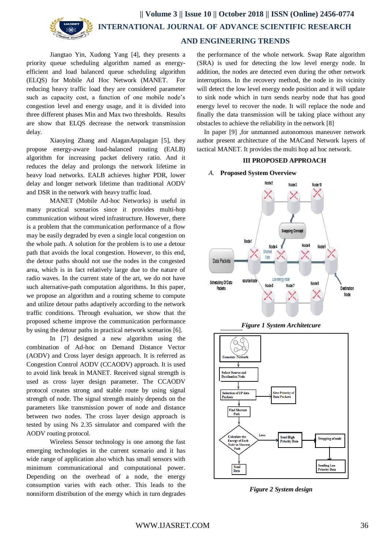

# **AND ENGINEERING TRENDS**

Jiangtao Yin, Xudong Yang [4], they presents a priority queue scheduling algorithm named as energyefficient and load balanced queue scheduling algorithm (ELQS) for Mobile Ad Hoc Network (MANET. For reducing heavy traffic load they are considered parameter such as capacity cost, a function of one mobile node's congestion level and energy usage, and it is divided into three different phases Min and Max two thresholds. Results are show that ELQS decrease the network transmission delay.

Xiaoying Zhang and AlaganAnpalagan [5], they propose energy-aware load-balanced routing (EALB) algorithm for increasing packet delivery ratio. And it reduces the delay and prolongs the network lifetime in heavy load networks. EALB achieves higher PDR, lower delay and longer network lifetime than traditional AODV and DSR in the network with heavy traffic load.

MANET (Mobile Ad-hoc Networks) is useful in many practical scenarios since it provides multi-hop communication without wired infrastructure. However, there is a problem that the communication performance of a flow may be easily degraded by even a single local congestion on the whole path. A solution for the problem is to use a detour path that avoids the local congestion. However, to this end, the detour paths should not use the nodes in the congested area, which is in fact relatively large due to the nature of radio waves. In the current state of the art, we do not have such alternative-path computation algorithms. In this paper, we propose an algorithm and a routing scheme to compute and utilize detour paths adaptively according to the network traffic conditions. Through evaluation, we show that the proposed scheme improve the communication performance by using the detour paths in practical network scenarios [6].

In [7] designed a new algorithm using the combination of Ad-hoc on Demand Distance Vector (AODV) and Cross layer design approach. It is referred as Congestion Control AODV (CCAODV) approach. It is used to avoid link break in MANET. Received signal strength is used as cross layer design parameter. The CCAODV protocol creates strong and stable route by using signal strength of node. The signal strength mainly depends on the parameters like transmission power of node and distance between two nodes. The cross layer design approach is tested by using Ns 2.35 simulator and compared with the AODV routing protocol.

Wireless Sensor technology is one among the fast emerging technologies in the current scenario and it has wide range of application also which has small sensors with minimum communicational and computational power. Depending on the overhead of a node, the energy consumption varies with each other. This leads to the nonniform distribution of the energy which in turn degrades

the performance of the whole network. Swap Rate algorithm (SRA) is used for detecting the low level energy node. In addition, the nodes are detected even during the other network interruptions. In the recovery method, the node in its vicinity will detect the low level energy node position and it will update to sink node which in turn sends nearby node that has good energy level to recover the node. It will replace the node and finally the data transmission will be taking place without any obstacles to achieve the reliability in the network [8]

In paper [9] ,for unmanned autonomous maneuver network author present architecture of the MACand Network layers of tactical MANET. It provides the multi hop ad hoc network.

# **III PROPOSED APPROACH**

#### *A.* **Proposed System Overview**







*Figure 2 System design*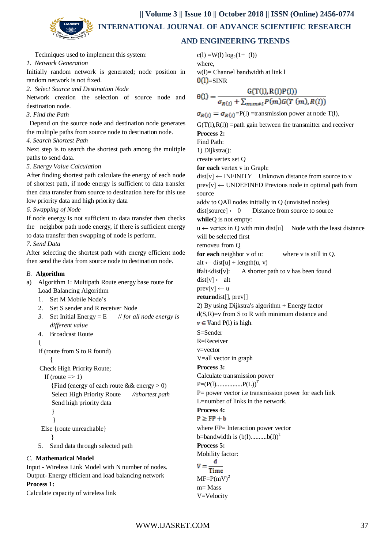**|| Volume 3 || Issue 10 || October 2018 || ISSN (Online) 2456-0774 INTERNATIONAL JOURNAL OF ADVANCE SCIENTIFIC RESEARCH** 

# **AND ENGINEERING TRENDS**

Techniques used to implement this system:

# *1. Network Generation*

Initially random network is generated; node position in random network is not fixed.

*2. Select Source and Destination Node*

Network creation the selection of source node and destination node.

# *3. Find the Path*

 Depend on the source node and destination node generates the multiple paths from source node to destination node.

# *4. Search Shortest Path*

Next step is to search the shortest path among the multiple paths to send data.

# *5. Energy Value Calculation*

After finding shortest path calculate the energy of each node of shortest path, if node energy is sufficient to data transfer then data transfer from source to destination here for this use low priority data and high priority data

# *6. Swapping of Node*

If node energy is not sufficient to data transfer then checks the neighbor path node energy, if there is sufficient energy to data transfer then swapping of node is perform.

*7. Send Data*

After selecting the shortest path with energy efficient node then send the data from source node to destination node.

# *B.* **Algorithm**

a) Algorithm 1: Multipath Route energy base route for Load Balancing Algorithm

1. Set M Mobile Node's

- 2. Set S sender and R receiver Node
- *3.* Set Initial Energy = E // *for all node energy is different value*
- 4. Broadcast Route

```
{
```
If (route from S to R found)

{ Check High Priority Route;

```
If (route \Rightarrow 1)
```

```
{Find (energy of each route && energy > 0)
   Select High Priority Route //shortest path
   Send high priority data 
   }
    }
Else {route unreachable}
```

```
 }
```
5. Send data through selected path

# *C.* **Mathematical Model**

Input - Wireless Link Model with N number of nodes. Output- Energy efficient and load balancing network

# **Process 1:**

Calculate capacity of wireless link

 $c(1) = W(1) \log_2(1 + (1))$ where, w(l)= Channel bandwidth at link l  $\theta$ (I)=SINR

$$
\theta(l) = \frac{G(T(l), R(l)P(l))}{\sigma_{R(l)} + \sum_{m:m \neq l} P(m)G(T(m), R(l))}
$$

 $\sigma_{R(l)} = \sigma_{R(l)}$ =P(l) =transmission power at node T(l),

 $G(T(1),R(1)) =$  path gain between the transmitter and receiver **Process 2:**

Find Path:

1) Dijkstra():

create vertex set Q

**for each** vertex v in Graph:

 $dist[v] \leftarrow INFINITE$  Unknown distance from source to v prev[v] ← UNDEFINED Previous node in optimal path from source

addv to QAll nodes initially in Q (unvisited nodes)

 $dist[source] \leftarrow 0$  Distance from source to source **while**Q is not empty:

 $u \leftarrow$  vertex in Q with min dist[u] Node with the least distance will be selected first

removeu from Q

**for each** neighbor v of u: where v is still in Q.

 $alt \leftarrow dist[u] + length(u, v)$ 

**if**alt<dist[v]: A shorter path to v has been found

 $dist[v] \leftarrow alt$ 

 $prev[v] \leftarrow u$ 

**return**dist[], prev[]

2) By using Dijkstra's algorithm + Energy factor  $d(S,R)=v$  from S to R with minimum distance and

 $v \in V$  and P(l) is high.

S=Sender

```
R=Receiver
```
v=vector

V=all vector in graph

# **Process 3:**

Calculate transmission power

P=(P(l)................P(L))<sup>T</sup>

P= power vector i.e transmission power for each link L=number of links in the network.

#### **Process 4:**  $P > FP + b$

where FP= Interaction power vector b=bandwidth is  $(b(1)$ ..........b(1)<sup>T</sup> **Process 5:** Mobility factor: d

Time  $MF=P(mV)^2$ m= Mass V=Velocity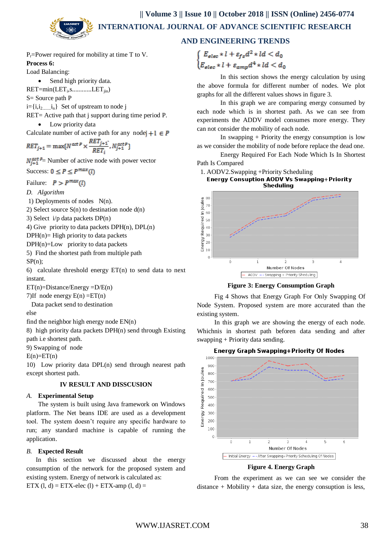

# **AND ENGINEERING TRENDS**

P<sub>r</sub>=Power required for mobility at time T to V. **Process 6:**

Load Balancing:

• Send high priority data.

 $RET = min (LET<sub>i</sub>, s........... LET<sub>jin</sub>)$ 

S= Source path P

 $i=\{i, i_2,...,i_n\}$  Set of upstream to node j

RET= Active path that j support during time period P.

• Low priority data

Calculate number of active path for any node  $+1 \in P$  $RET_{i+1}$ 

$$
RET_{j+1} = \max\{N^{act\ P} \times \frac{N}{RET_i}, N_{j+1}^{act\ P}\}
$$

 $N_{i+1}^{\text{act }p}$  Number of active node with power vector

Success:  $0 \le P \le P^{max}(l)$ 

Failure:  $P > P^{max}(I)$ 

*D. Algorithm*

1) Deployments of nodes N(n).

2) Select source  $S(n)$  to destination node  $d(n)$ 

3) Select i/p data packets DP(n)

4) Give priority to data packets DPH(n), DPL(n)

 $DPH(n)$ = High priority to data packets

 $DPH(n)=Low$  priority to data packets

5) Find the shortest path from multiple path

SP(n);

6) calculate threshold energy  $ET(n)$  to send data to next instant.

 $ET(n)=Distance/Energy =D/E(n)$ 

7)If node energy  $E(n) = ET(n)$ 

Data packet send to destination

else

find the neighbor high energy node EN(n)

8) high priority data packets DPH(n) send through Existing path i.e shortest path.

9) Swapping of node

 $E(n)=ET(n)$ 

10) Low priority data DPL(n) send through nearest path except shortest path.

## **IV RESULT AND DISSCUSION**

# *A.* **Experimental Setup**

The system is built using Java framework on Windows platform. The Net beans IDE are used as a development tool. The system doesn't require any specific hardware to run; any standard machine is capable of running the application.

#### *B.* **Expected Result**

In this section we discussed about the energy consumption of the network for the proposed system and existing system. Energy of network is calculated as:

ETX (l, d) = ETX-elec (l) + ETX-amp (l, d) =

$$
\begin{cases} E_{elec} * l + \varepsilon_{fs} d^2 * ld < d_0 \\ E_{elec} * l + \varepsilon_{amp} d^4 * ld < d_0 \end{cases}
$$

In this section shows the energy calculation by using the above formula for different number of nodes. We plot graphs for all the different values shows in figure 3.

In this graph we are comparing energy consumed by each node which is in shortest path. As we can see from experiments the ADDV model consumes more energy. They can not consider the mobility of each node.

In swapping + Priority the energy consumption is low as we consider the mobility of node before replace the dead one.

Energy Required For Each Node Which Is In Shortest Path Is Compared

# 1. AODV2.Swapping +Priority Scheduling<br>**Energy Consuption AODV Vs Swapping+Priority Sheduling**



**Figure 3: Energy Consumption Graph**

Fig 4 Shows that Energy Graph For Only Swapping Of Node System. Proposed system are more accurated than the existing system.

In this graph we are showing the energy of each node. Whichnis in shortest path beforen data sending and after swapping + Priority data sending.

#### Energy Graph Swapping+Priority Of Nodes



**Figure 4. Energy Graph**

From the experiment as we can see we consider the  $distance + Mobility + data size, the energy consumption is less,$